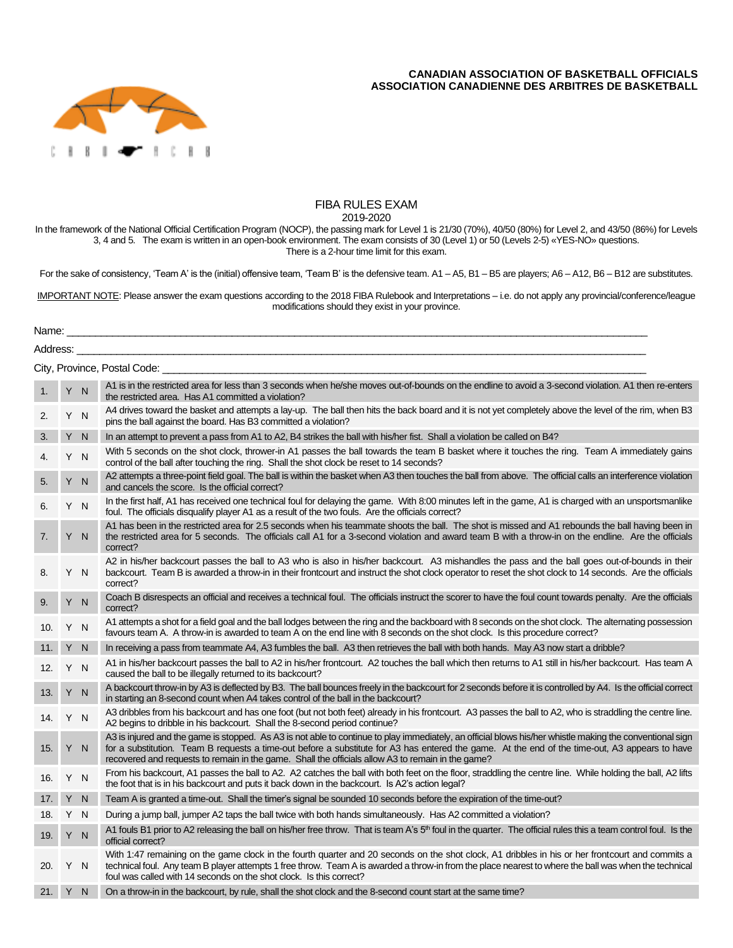## **CANADIAN ASSOCIATION OF BASKETBALL OFFICIALS ASSOCIATION CANADIENNE DES ARBITRES DE BASKETBALL**



## FIBA RULES EXAM

2019-2020

In the framework of the National Official Certification Program (NOCP), the passing mark for Level 1 is 21/30 (70%), 40/50 (80%) for Level 2, and 43/50 (86%) for Levels 3, 4 and 5. The exam is written in an open-book environment. The exam consists of 30 (Level 1) or 50 (Levels 2-5) «YES-NO» questions. There is a 2-hour time limit for this exam.

For the sake of consistency, 'Team A' is the (initial) offensive team, 'Team B' is the defensive team. A1 - A5, B1 - B5 are players; A6 - A12, B6 - B12 are substitutes.

IMPORTANT NOTE: Please answer the exam questions according to the 2018 FIBA Rulebook and Interpretations – i.e. do not apply any provincial/conference/league modifications should they exist in your province.

Name: \_\_\_\_\_\_\_\_\_\_\_\_\_\_\_\_\_\_\_\_\_\_\_\_\_\_\_\_\_\_\_\_\_\_\_\_\_\_\_\_\_\_\_\_\_\_\_\_\_\_\_\_\_\_\_\_\_\_\_\_\_\_\_\_\_\_\_\_\_\_\_\_\_\_\_\_\_\_\_\_\_\_\_\_\_\_\_\_\_\_\_\_\_\_\_\_\_\_\_\_\_\_

|                              | Address: |     |                                                                                                                                                                                                                                                                                                                                                                                                                 |  |  |  |  |
|------------------------------|----------|-----|-----------------------------------------------------------------------------------------------------------------------------------------------------------------------------------------------------------------------------------------------------------------------------------------------------------------------------------------------------------------------------------------------------------------|--|--|--|--|
| City, Province, Postal Code: |          |     |                                                                                                                                                                                                                                                                                                                                                                                                                 |  |  |  |  |
|                              |          | Y N | A1 is in the restricted area for less than 3 seconds when he/she moves out-of-bounds on the endline to avoid a 3-second violation. A1 then re-enters<br>the restricted area. Has A1 committed a violation?                                                                                                                                                                                                      |  |  |  |  |
| 2.                           |          | Y N | A4 drives toward the basket and attempts a lay-up. The ball then hits the back board and it is not yet completely above the level of the rim, when B3<br>pins the ball against the board. Has B3 committed a violation?                                                                                                                                                                                         |  |  |  |  |
| 3.                           |          | Y N | In an attempt to prevent a pass from A1 to A2, B4 strikes the ball with his/her fist. Shall a violation be called on B4?                                                                                                                                                                                                                                                                                        |  |  |  |  |
| 4.                           |          | Y N | With 5 seconds on the shot clock, thrower-in A1 passes the ball towards the team B basket where it touches the ring. Team A immediately gains<br>control of the ball after touching the ring. Shall the shot clock be reset to 14 seconds?                                                                                                                                                                      |  |  |  |  |
| 5.                           |          | Y N | A2 attempts a three-point field goal. The ball is within the basket when A3 then touches the ball from above. The official calls an interference violation<br>and cancels the score. Is the official correct?                                                                                                                                                                                                   |  |  |  |  |
| 6.                           |          | Y N | In the first half, A1 has received one technical foul for delaying the game. With 8:00 minutes left in the game, A1 is charged with an unsportsmanlike<br>foul. The officials disqualify player A1 as a result of the two fouls. Are the officials correct?                                                                                                                                                     |  |  |  |  |
| 7.                           |          | Y N | A1 has been in the restricted area for 2.5 seconds when his teammate shoots the ball. The shot is missed and A1 rebounds the ball having been in<br>the restricted area for 5 seconds. The officials call A1 for a 3-second violation and award team B with a throw-in on the endline. Are the officials<br>correct?                                                                                            |  |  |  |  |
| 8.                           |          | Y N | A2 in his/her backcourt passes the ball to A3 who is also in his/her backcourt. A3 mishandles the pass and the ball goes out-of-bounds in their<br>backcourt. Team B is awarded a throw-in in their frontcourt and instruct the shot clock operator to reset the shot clock to 14 seconds. Are the officials<br>correct?                                                                                        |  |  |  |  |
| 9.                           |          | Y N | Coach B disrespects an official and receives a technical foul. The officials instruct the scorer to have the foul count towards penalty. Are the officials<br>correct?                                                                                                                                                                                                                                          |  |  |  |  |
| 10.                          | Y        | N   | A1 attempts a shot for a field goal and the ball lodges between the ring and the backboard with 8 seconds on the shot clock. The alternating possession<br>favours team A. A throw-in is awarded to team A on the end line with 8 seconds on the shot clock. Is this procedure correct?                                                                                                                         |  |  |  |  |
| 11.                          | Y N      |     | In receiving a pass from teammate A4, A3 fumbles the ball. A3 then retrieves the ball with both hands. May A3 now start a dribble?                                                                                                                                                                                                                                                                              |  |  |  |  |
| 12.                          | Y        | N   | A1 in his/her backcourt passes the ball to A2 in his/her frontcourt. A2 touches the ball which then returns to A1 still in his/her backcourt. Has team A<br>caused the ball to be illegally returned to its backcourt?                                                                                                                                                                                          |  |  |  |  |
| 13.                          |          | Y N | A backcourt throw-in by A3 is deflected by B3. The ball bounces freely in the backcourt for 2 seconds before it is controlled by A4. Is the official correct<br>in starting an 8-second count when A4 takes control of the ball in the backcourt?                                                                                                                                                               |  |  |  |  |
| 14.                          | Y        | N   | A3 dribbles from his backcourt and has one foot (but not both feet) already in his frontcourt. A3 passes the ball to A2, who is straddling the centre line.<br>A2 begins to dribble in his backcourt. Shall the 8-second period continue?                                                                                                                                                                       |  |  |  |  |
| 15.                          |          | Y N | A3 is injured and the game is stopped. As A3 is not able to continue to play immediately, an official blows his/her whistle making the conventional sign<br>for a substitution. Team B requests a time-out before a substitute for A3 has entered the game. At the end of the time-out, A3 appears to have<br>recovered and requests to remain in the game. Shall the officials allow A3 to remain in the game? |  |  |  |  |
| 16.                          |          | Y N | From his backcourt, A1 passes the ball to A2. A2 catches the ball with both feet on the floor, straddling the centre line. While holding the ball, A2 lifts<br>the foot that is in his backcourt and puts it back down in the backcourt. Is A2's action legal?                                                                                                                                                  |  |  |  |  |
| 17. Y N                      |          |     | Team A is granted a time-out. Shall the timer's signal be sounded 10 seconds before the expiration of the time-out?                                                                                                                                                                                                                                                                                             |  |  |  |  |
| 18.                          | Y N      |     | During a jump ball, jumper A2 taps the ball twice with both hands simultaneously. Has A2 committed a violation?                                                                                                                                                                                                                                                                                                 |  |  |  |  |
| 19.                          |          | Y N | A1 fouls B1 prior to A2 releasing the ball on his/her free throw. That is team A's 5 <sup>th</sup> foul in the quarter. The official rules this a team control foul. Is the<br>official correct?                                                                                                                                                                                                                |  |  |  |  |
| 20.                          | Y        | N   | With 1:47 remaining on the game clock in the fourth guarter and 20 seconds on the shot clock, A1 dribbles in his or her frontcourt and commits a<br>technical foul. Any team B player attempts 1 free throw. Team A is awarded a throw-in from the place nearest to where the ball was when the technical<br>foul was called with 14 seconds on the shot clock. Is this correct?                                |  |  |  |  |
| 21. Y N                      |          |     | On a throw-in in the backcourt, by rule, shall the shot clock and the 8-second count start at the same time?                                                                                                                                                                                                                                                                                                    |  |  |  |  |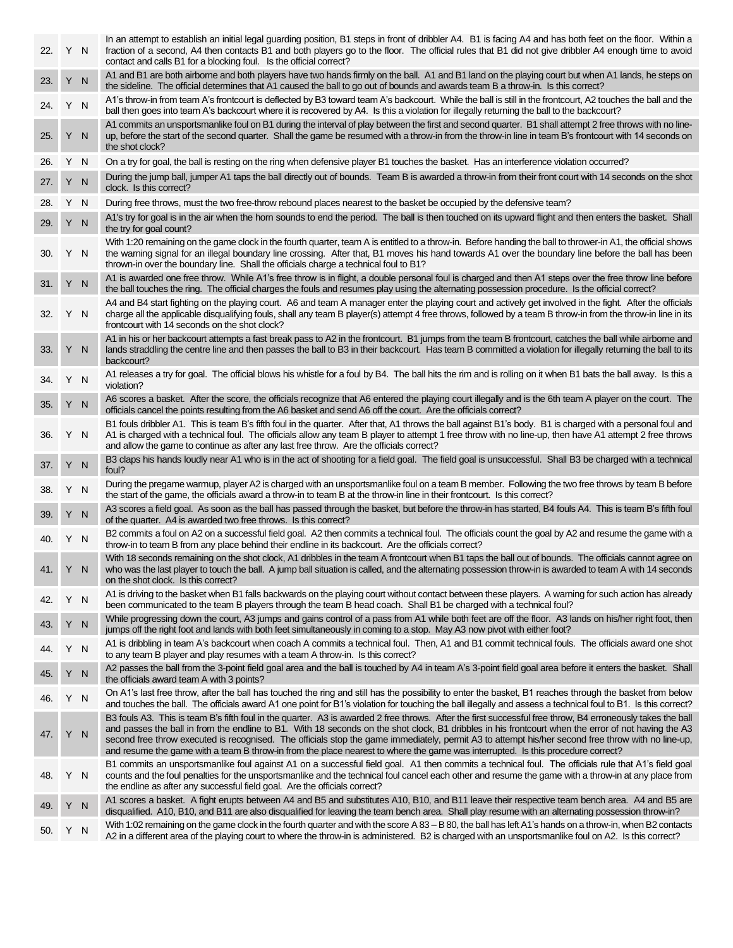| 22. | Y N |              | In an attempt to establish an initial legal guarding position, B1 steps in front of dribbler A4. B1 is facing A4 and has both feet on the floor. Within a<br>fraction of a second, A4 then contacts B1 and both players go to the floor. The official rules that B1 did not give dribbler A4 enough time to avoid<br>contact and calls B1 for a blocking foul. Is the official correct?                                                                                                                                                                                                                    |  |
|-----|-----|--------------|------------------------------------------------------------------------------------------------------------------------------------------------------------------------------------------------------------------------------------------------------------------------------------------------------------------------------------------------------------------------------------------------------------------------------------------------------------------------------------------------------------------------------------------------------------------------------------------------------------|--|
| 23. | Y   | N            | A1 and B1 are both airborne and both players have two hands firmly on the ball. A1 and B1 land on the playing court but when A1 lands, he steps on<br>the sideline. The official determines that A1 caused the ball to go out of bounds and awards team B a throw-in. Is this correct?                                                                                                                                                                                                                                                                                                                     |  |
| 24. | Y N |              | A1's throw-in from team A's frontcourt is deflected by B3 toward team A's backcourt. While the ball is still in the frontcourt, A2 touches the ball and the<br>ball then goes into team A's backcourt where it is recovered by A4. Is this a violation for illegally returning the ball to the backcourt?                                                                                                                                                                                                                                                                                                  |  |
| 25. |     | Y N          | A1 commits an unsportsmanlike foul on B1 during the interval of play between the first and second quarter. B1 shall attempt 2 free throws with no line-<br>up, before the start of the second quarter. Shall the game be resumed with a throw-in from the throw-in line in team B's frontcourt with 14 seconds on<br>the shot clock?                                                                                                                                                                                                                                                                       |  |
| 26. | Y N |              | On a try for goal, the ball is resting on the ring when defensive player B1 touches the basket. Has an interference violation occurred?                                                                                                                                                                                                                                                                                                                                                                                                                                                                    |  |
| 27. | Y   | N            | During the jump ball, jumper A1 taps the ball directly out of bounds. Team B is awarded a throw-in from their front court with 14 seconds on the shot<br>clock. Is this correct?                                                                                                                                                                                                                                                                                                                                                                                                                           |  |
| 28. |     | Y N          | During free throws, must the two free-throw rebound places nearest to the basket be occupied by the defensive team?                                                                                                                                                                                                                                                                                                                                                                                                                                                                                        |  |
| 29. |     | Y N          | A1's try for goal is in the air when the horn sounds to end the period. The ball is then touched on its upward flight and then enters the basket. Shall<br>the try for goal count?                                                                                                                                                                                                                                                                                                                                                                                                                         |  |
| 30. |     | Y N          | With 1:20 remaining on the game clock in the fourth quarter, team A is entitled to a throw-in. Before handing the ball to thrower-in A1, the official shows<br>the warning signal for an illegal boundary line crossing. After that, B1 moves his hand towards A1 over the boundary line before the ball has been<br>thrown-in over the boundary line. Shall the officials charge a technical foul to B1?                                                                                                                                                                                                  |  |
| 31. |     | Y N          | A1 is awarded one free throw. While A1's free throw is in flight, a double personal foul is charged and then A1 steps over the free throw line before<br>the ball touches the ring. The official charges the fouls and resumes play using the alternating possession procedure. Is the official correct?                                                                                                                                                                                                                                                                                                   |  |
| 32. |     | Y N          | A4 and B4 start fighting on the playing court. A6 and team A manager enter the playing court and actively get involved in the fight. After the officials<br>charge all the applicable disqualifying fouls, shall any team B player(s) attempt 4 free throws, followed by a team B throw-in from the throw-in line in its<br>frontcourt with 14 seconds on the shot clock?                                                                                                                                                                                                                                  |  |
| 33. |     | Y N          | A1 in his or her backcourt attempts a fast break pass to A2 in the frontcourt. B1 jumps from the team B frontcourt, catches the ball while airborne and<br>lands straddling the centre line and then passes the ball to B3 in their backcourt. Has team B committed a violation for illegally returning the ball to its<br>backcourt?                                                                                                                                                                                                                                                                      |  |
| 34. | Y   | N            | A1 releases a try for goal. The official blows his whistle for a foul by B4. The ball hits the rim and is rolling on it when B1 bats the ball away. Is this a<br>violation?                                                                                                                                                                                                                                                                                                                                                                                                                                |  |
| 35. |     | Y N          | A6 scores a basket. After the score, the officials recognize that A6 entered the playing court illegally and is the 6th team A player on the court. The<br>officials cancel the points resulting from the A6 basket and send A6 off the court. Are the officials correct?                                                                                                                                                                                                                                                                                                                                  |  |
| 36. |     | Y N          | B1 fouls dribbler A1. This is team B's fifth foul in the quarter. After that, A1 throws the ball against B1's body. B1 is charged with a personal foul and<br>A1 is charged with a technical foul. The officials allow any team B player to attempt 1 free throw with no line-up, then have A1 attempt 2 free throws<br>and allow the game to continue as after any last free throw. Are the officials correct?                                                                                                                                                                                            |  |
| 37. |     | Y N          | B3 claps his hands loudly near A1 who is in the act of shooting for a field goal. The field goal is unsuccessful. Shall B3 be charged with a technical<br>foul?                                                                                                                                                                                                                                                                                                                                                                                                                                            |  |
| 38. | Y N |              | During the pregame warmup, player A2 is charged with an unsportsmanlike foul on a team B member. Following the two free throws by team B before<br>the start of the game, the officials award a throw-in to team B at the throw-in line in their frontcourt. Is this correct?                                                                                                                                                                                                                                                                                                                              |  |
| 39. |     | Y N          | A3 scores a field goal. As soon as the ball has passed through the basket, but before the throw-in has started, B4 fouls A4. This is team B's fifth foul<br>of the quarter. A4 is awarded two free throws. Is this correct?                                                                                                                                                                                                                                                                                                                                                                                |  |
| 40. |     | Y N          | B2 commits a foul on A2 on a successful field goal. A2 then commits a technical foul. The officials count the goal by A2 and resume the game with a<br>throw-in to team B from any place behind their endline in its backcourt. Are the officials correct?                                                                                                                                                                                                                                                                                                                                                 |  |
| 41. |     | Y N          | With 18 seconds remaining on the shot clock, A1 dribbles in the team A frontcourt when B1 taps the ball out of bounds. The officials cannot agree on<br>who was the last player to touch the ball. A jump ball situation is called, and the alternating possession throw-in is awarded to team A with 14 seconds<br>on the shot clock. Is this correct?                                                                                                                                                                                                                                                    |  |
| 42. |     | Y N          | A1 is driving to the basket when B1 falls backwards on the playing court without contact between these players. A warning for such action has already<br>been communicated to the team B players through the team B head coach. Shall B1 be charged with a technical foul?                                                                                                                                                                                                                                                                                                                                 |  |
| 43. | Y.  | N            | While progressing down the court, A3 jumps and gains control of a pass from A1 while both feet are off the floor. A3 lands on his/her right foot, then<br>jumps off the right foot and lands with both feet simultaneously in coming to a stop. May A3 now pivot with either foot?                                                                                                                                                                                                                                                                                                                         |  |
| 44. | Y.  | N            | A1 is dribbling in team A's backcourt when coach A commits a technical foul. Then, A1 and B1 commit technical fouls. The officials award one shot<br>to any team B player and play resumes with a team A throw-in. Is this correct?                                                                                                                                                                                                                                                                                                                                                                        |  |
| 45. | Y.  | N            | A2 passes the ball from the 3-point field goal area and the ball is touched by A4 in team A's 3-point field goal area before it enters the basket. Shall<br>the officials award team A with 3 points?                                                                                                                                                                                                                                                                                                                                                                                                      |  |
| 46. |     | Y N          | On A1's last free throw, after the ball has touched the ring and still has the possibility to enter the basket, B1 reaches through the basket from below<br>and touches the ball. The officials award A1 one point for B1's violation for touching the ball illegally and assess a technical foul to B1. Is this correct?                                                                                                                                                                                                                                                                                  |  |
| 47. | Y   | N            | B3 fouls A3. This is team B's fifth foul in the quarter. A3 is awarded 2 free throws. After the first successful free throw, B4 erroneously takes the ball<br>and passes the ball in from the endline to B1. With 18 seconds on the shot clock, B1 dribbles in his frontcourt when the error of not having the A3<br>second free throw executed is recognised. The officials stop the game immediately, permit A3 to attempt his/her second free throw with no line-up,<br>and resume the game with a team B throw-in from the place nearest to where the game was interrupted. Is this procedure correct? |  |
| 48. | Y   | <sub>N</sub> | B1 commits an unsportsmanlike foul against A1 on a successful field goal. A1 then commits a technical foul. The officials rule that A1's field goal<br>counts and the foul penalties for the unsportsmanlike and the technical foul cancel each other and resume the game with a throw-in at any place from<br>the endline as after any successful field goal. Are the officials correct?                                                                                                                                                                                                                  |  |
| 49. | Y.  | <sub>N</sub> | A1 scores a basket. A fight erupts between A4 and B5 and substitutes A10, B10, and B11 leave their respective team bench area. A4 and B5 are<br>disqualified. A10, B10, and B11 are also disqualified for leaving the team bench area. Shall play resume with an alternating possession throw-in?                                                                                                                                                                                                                                                                                                          |  |
| 50. |     | Y N          | With 1:02 remaining on the game clock in the fourth quarter and with the score A 83 – B 80, the ball has left A1's hands on a throw-in, when B2 contacts<br>A2 in a different area of the playing court to where the throw-in is administered. B2 is charged with an unsportsmanlike foul on A2. Is this correct?                                                                                                                                                                                                                                                                                          |  |